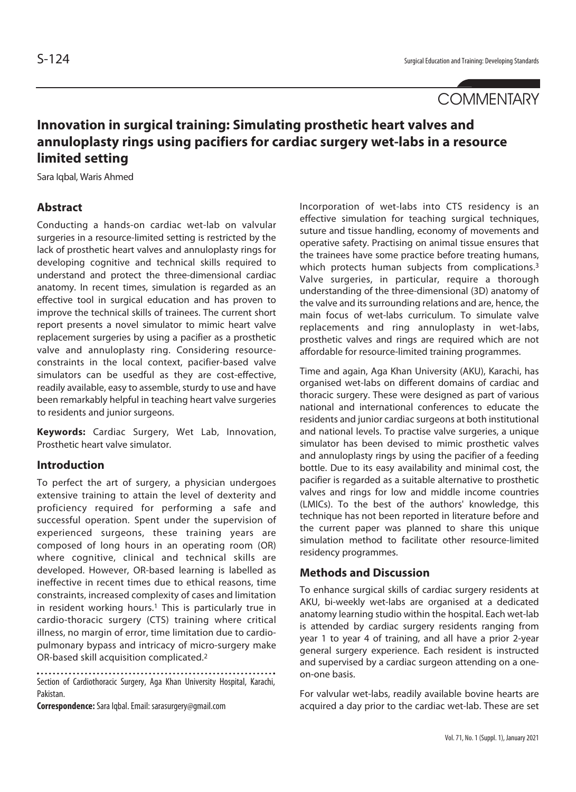# **COMMENTARY**

# **Innovation in surgical training: Simulating prosthetic heart valves and annuloplasty rings using pacifiers for cardiac surgery wet-labs in a resource limited setting**

Sara Iqbal, Waris Ahmed

### **Abstract**

Conducting a hands-on cardiac wet-lab on valvular surgeries in a resource-limited setting is restricted by the lack of prosthetic heart valves and annuloplasty rings for developing cognitive and technical skills required to understand and protect the three-dimensional cardiac anatomy. In recent times, simulation is regarded as an effective tool in surgical education and has proven to improve the technical skills of trainees. The current short report presents a novel simulator to mimic heart valve replacement surgeries by using a pacifier as a prosthetic valve and annuloplasty ring. Considering resourceconstraints in the local context, pacifier-based valve simulators can be usedful as they are cost-effective, readily available, easy to assemble, sturdy to use and have been remarkably helpful in teaching heart valve surgeries to residents and junior surgeons.

**Keywords:** Cardiac Surgery, Wet Lab, Innovation, Prosthetic heart valve simulator.

#### **Introduction**

To perfect the art of surgery, a physician undergoes extensive training to attain the level of dexterity and proficiency required for performing a safe and successful operation. Spent under the supervision of experienced surgeons, these training years are composed of long hours in an operating room (OR) where cognitive, clinical and technical skills are developed. However, OR-based learning is labelled as ineffective in recent times due to ethical reasons, time constraints, increased complexity of cases and limitation in resident working hours.<sup>1</sup> This is particularly true in cardio-thoracic surgery (CTS) training where critical illness, no margin of error, time limitation due to cardiopulmonary bypass and intricacy of micro-surgery make OR-based skill acquisition complicated.2

Section of Cardiothoracic Surgery, Aga Khan University Hospital, Karachi, Pakistan.

**Correspondence:** Sara Iqbal. Email: sarasurgery@gmail.com

Incorporation of wet-labs into CTS residency is an effective simulation for teaching surgical techniques, suture and tissue handling, economy of movements and operative safety. Practising on animal tissue ensures that the trainees have some practice before treating humans, which protects human subjects from complications.<sup>3</sup> Valve surgeries, in particular, require a thorough understanding of the three-dimensional (3D) anatomy of the valve and its surrounding relations and are, hence, the main focus of wet-labs curriculum. To simulate valve replacements and ring annuloplasty in wet-labs, prosthetic valves and rings are required which are not affordable for resource-limited training programmes.

Time and again, Aga Khan University (AKU), Karachi, has organised wet-labs on different domains of cardiac and thoracic surgery. These were designed as part of various national and international conferences to educate the residents and junior cardiac surgeons at both institutional and national levels. To practise valve surgeries, a unique simulator has been devised to mimic prosthetic valves and annuloplasty rings by using the pacifier of a feeding bottle. Due to its easy availability and minimal cost, the pacifier is regarded as a suitable alternative to prosthetic valves and rings for low and middle income countries (LMICs). To the best of the authors' knowledge, this technique has not been reported in literature before and the current paper was planned to share this unique simulation method to facilitate other resource-limited residency programmes.

#### **Methods and Discussion**

To enhance surgical skills of cardiac surgery residents at AKU, bi-weekly wet-labs are organised at a dedicated anatomy learning studio within the hospital. Each wet-lab is attended by cardiac surgery residents ranging from year 1 to year 4 of training, and all have a prior 2-year general surgery experience. Each resident is instructed and supervised by a cardiac surgeon attending on a oneon-one basis.

For valvular wet-labs, readily available bovine hearts are acquired a day prior to the cardiac wet-lab. These are set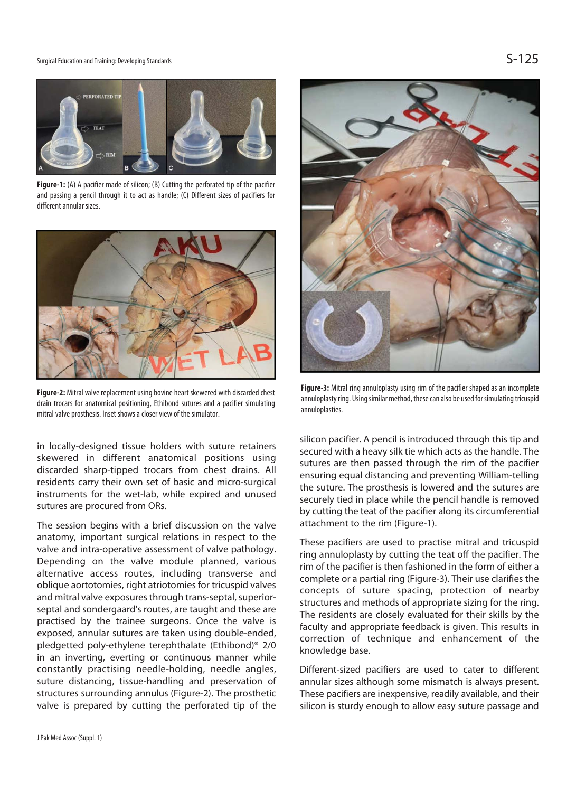#### Surgical Education and Training: Developing Standards  $\mathsf{S-125}$



**Figure-1:** (A) A pacifier made of silicon; (B) Cutting the perforated tip of the pacifier and passing a pencil through it to act as handle; (C) Different sizes of pacifiers for different annular sizes.



**Figure-2:** Mitral valve replacement using bovine heart skewered with discarded chest drain trocars for anatomical positioning, Ethibond sutures and a pacifier simulating mitral valve prosthesis. Inset shows a closer view of the simulator.

in locally-designed tissue holders with suture retainers skewered in different anatomical positions using discarded sharp-tipped trocars from chest drains. All residents carry their own set of basic and micro-surgical instruments for the wet-lab, while expired and unused sutures are procured from ORs.

The session begins with a brief discussion on the valve anatomy, important surgical relations in respect to the valve and intra-operative assessment of valve pathology. Depending on the valve module planned, various alternative access routes, including transverse and oblique aortotomies, right atriotomies for tricuspid valves and mitral valve exposures through trans-septal, superiorseptal and sondergaard's routes, are taught and these are practised by the trainee surgeons. Once the valve is exposed, annular sutures are taken using double-ended, pledgetted poly-ethylene terephthalate (Ethibond)® 2/0 in an inverting, everting or continuous manner while constantly practising needle-holding, needle angles, suture distancing, tissue-handling and preservation of structures surrounding annulus (Figure-2). The prosthetic valve is prepared by cutting the perforated tip of the



**Figure-3:** Mitral ring annuloplasty using rim of the pacifier shaped as an incomplete annuloplasty ring. Using similar method, these can also be used for simulating tricuspid annuloplasties.

silicon pacifier. A pencil is introduced through this tip and secured with a heavy silk tie which acts as the handle. The sutures are then passed through the rim of the pacifier ensuring equal distancing and preventing William-telling the suture. The prosthesis is lowered and the sutures are securely tied in place while the pencil handle is removed by cutting the teat of the pacifier along its circumferential attachment to the rim (Figure-1).

These pacifiers are used to practise mitral and tricuspid ring annuloplasty by cutting the teat off the pacifier. The rim of the pacifier is then fashioned in the form of either a complete or a partial ring (Figure-3). Their use clarifies the concepts of suture spacing, protection of nearby structures and methods of appropriate sizing for the ring. The residents are closely evaluated for their skills by the faculty and appropriate feedback is given. This results in correction of technique and enhancement of the knowledge base.

Different-sized pacifiers are used to cater to different annular sizes although some mismatch is always present. These pacifiers are inexpensive, readily available, and their silicon is sturdy enough to allow easy suture passage and